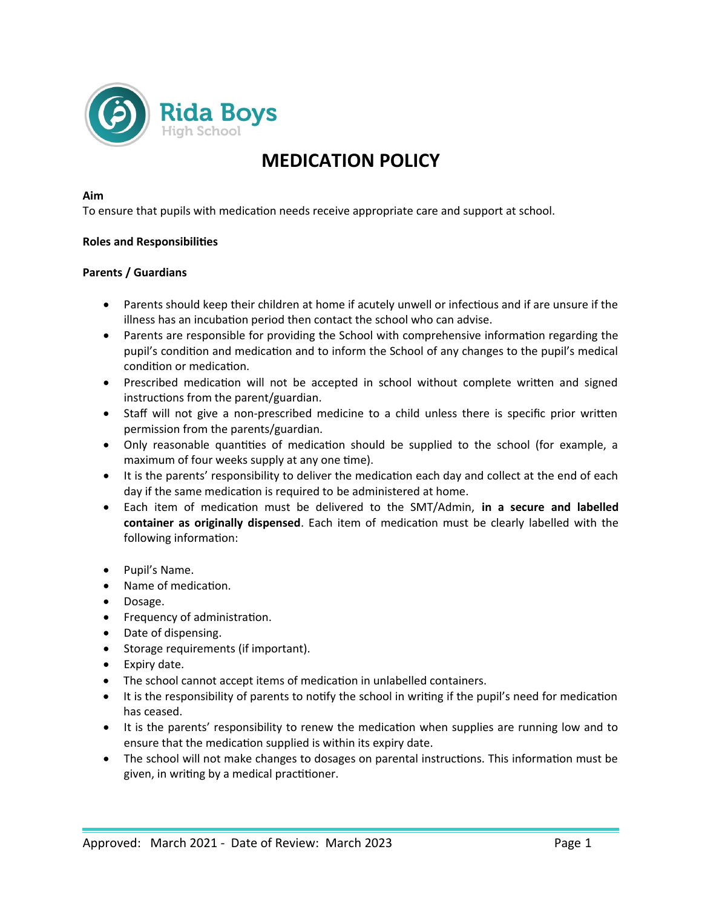

# **MEDICATION POLICY**

#### **Aim**

To ensure that pupils with medication needs receive appropriate care and support at school.

#### **Roles and Responsibilities**

#### **Parents / Guardians**

- Parents should keep their children at home if acutely unwell or infectious and if are unsure if the illness has an incubation period then contact the school who can advise.
- Parents are responsible for providing the School with comprehensive information regarding the pupil's condition and medication and to inform the School of any changes to the pupil's medical condition or medication.
- Prescribed medication will not be accepted in school without complete written and signed instructions from the parent/guardian.
- Staff will not give a non-prescribed medicine to a child unless there is specific prior written permission from the parents/guardian.
- Only reasonable quantities of medication should be supplied to the school (for example, a maximum of four weeks supply at any one time).
- It is the parents' responsibility to deliver the medication each day and collect at the end of each day if the same medication is required to be administered at home.
- Each item of medication must be delivered to the SMT/Admin, **in a secure and labelled container as originally dispensed**. Each item of medication must be clearly labelled with the following information:
- Pupil's Name.
- Name of medication.
- Dosage.
- Frequency of administration.
- Date of dispensing.
- Storage requirements (if important).
- Expiry date.
- The school cannot accept items of medication in unlabelled containers.
- It is the responsibility of parents to notify the school in writing if the pupil's need for medication has ceased.
- It is the parents' responsibility to renew the medication when supplies are running low and to ensure that the medication supplied is within its expiry date.
- The school will not make changes to dosages on parental instructions. This information must be given, in writing by a medical practitioner.